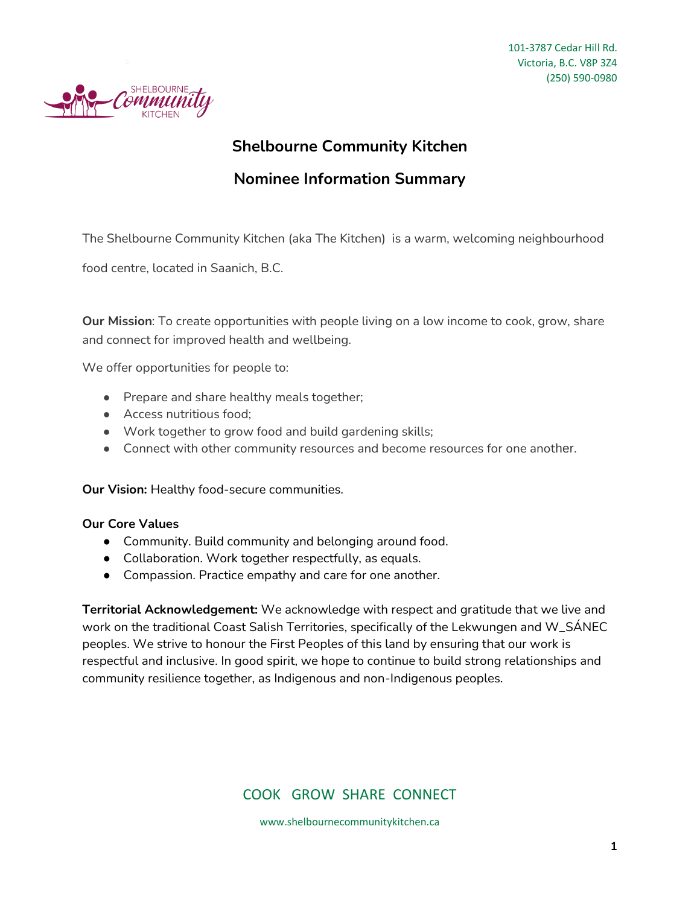

## **Shelbourne Community Kitchen**

## **Nominee Information Summary**

The Shelbourne Community Kitchen (aka The Kitchen) is a warm, welcoming neighbourhood

food centre, located in Saanich, B.C.

**Our Mission**: To create opportunities with people living on a low income to cook, grow, share and connect for improved health and wellbeing.

We offer opportunities for people to:

- Prepare and share healthy meals together;
- Access nutritious food:
- Work together to grow food and build gardening skills;
- Connect with other community resources and become resources for one another.

**Our Vision:** Healthy food-secure communities.

### **Our Core Values**

- Community. Build community and belonging around food.
- Collaboration. Work together respectfully, as equals.
- Compassion. Practice empathy and care for one another.

**Territorial Acknowledgement:** We acknowledge with respect and gratitude that we live and work on the traditional Coast Salish Territories, specifically of the Lekwungen and W\_SÁNEC peoples. We strive to honour the First Peoples of this land by ensuring that our work is respectful and inclusive. In good spirit, we hope to continue to build strong relationships and community resilience together, as Indigenous and non-Indigenous peoples.

### COOK GROW SHARE CONNECT

www.shelbournecommunitykitchen.ca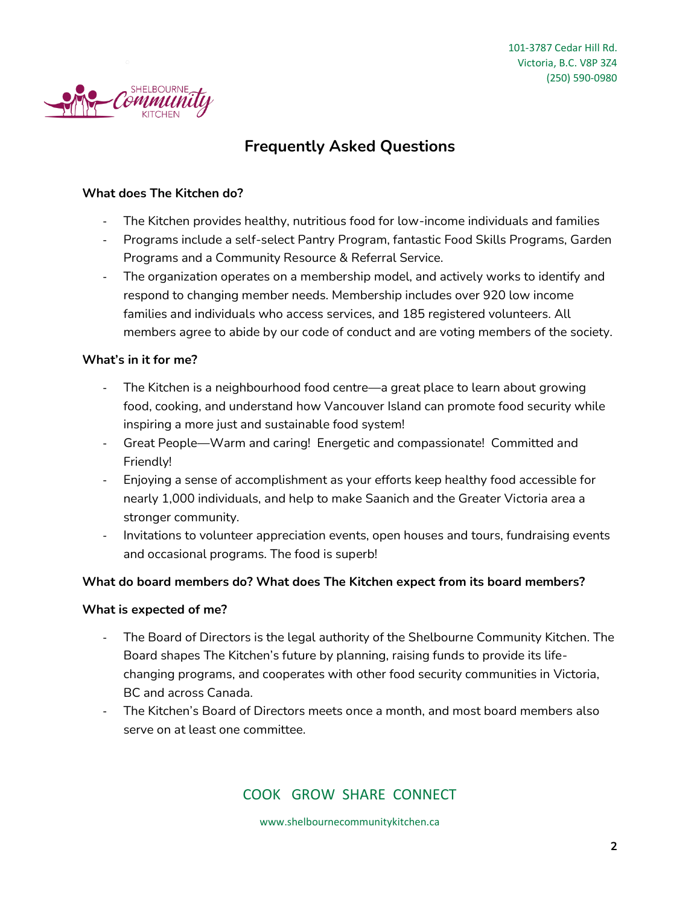

# **Frequently Asked Questions**

### **What does The Kitchen do?**

- The Kitchen provides healthy, nutritious food for low-income individuals and families
- Programs include a self-select Pantry Program, fantastic Food Skills Programs, Garden Programs and a Community Resource & Referral Service.
- The organization operates on a membership model, and actively works to identify and respond to changing member needs. Membership includes over 920 low income families and individuals who access services, and 185 registered volunteers. All members agree to abide by our code of conduct and are voting members of the society.

### **What's in it for me?**

- The Kitchen is a neighbourhood food centre—a great place to learn about growing food, cooking, and understand how Vancouver Island can promote food security while inspiring a more just and sustainable food system!
- Great People—Warm and caring! Energetic and compassionate! Committed and Friendly!
- Enjoying a sense of accomplishment as your efforts keep healthy food accessible for nearly 1,000 individuals, and help to make Saanich and the Greater Victoria area a stronger community.
- Invitations to volunteer appreciation events, open houses and tours, fundraising events and occasional programs. The food is superb!

### **What do board members do? What does The Kitchen expect from its board members?**

### **What is expected of me?**

- The Board of Directors is the legal authority of the Shelbourne Community Kitchen. The Board shapes The Kitchen's future by planning, raising funds to provide its lifechanging programs, and cooperates with other food security communities in Victoria, BC and across Canada.
- The Kitchen's Board of Directors meets once a month, and most board members also serve on at least one committee.

### COOK GROW SHARE CONNECT

www.shelbournecommunitykitchen.ca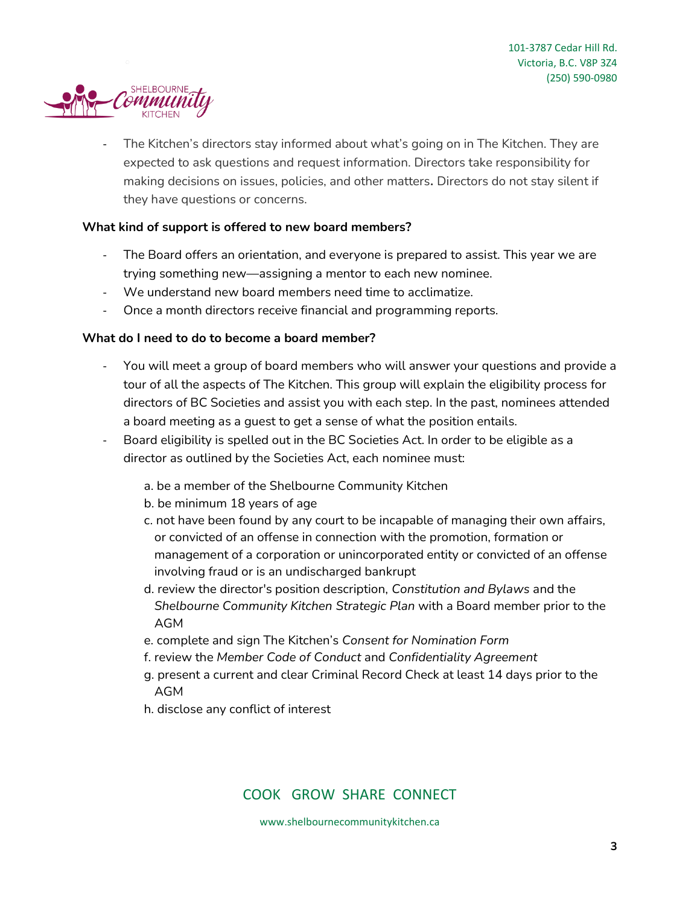

The Kitchen's directors stay informed about what's going on in The Kitchen. They are expected to ask questions and request information. Directors take responsibility for making decisions on issues, policies, and other matters**.** Directors do not stay silent if they have questions or concerns.

### **What kind of support is offered to new board members?**

- The Board offers an orientation, and everyone is prepared to assist. This year we are trying something new—assigning a mentor to each new nominee.
- We understand new board members need time to acclimatize.
- Once a month directors receive financial and programming reports.

### **What do I need to do to become a board member?**

- You will meet a group of board members who will answer your questions and provide a tour of all the aspects of The Kitchen. This group will explain the eligibility process for directors of BC Societies and assist you with each step. In the past, nominees attended a board meeting as a guest to get a sense of what the position entails.
- Board eligibility is spelled out in the BC Societies Act. In order to be eligible as a director as outlined by the Societies Act, each nominee must:
	- a. be a member of the Shelbourne Community Kitchen
	- b. be minimum 18 years of age
	- c. not have been found by any court to be incapable of managing their own affairs, or convicted of an offense in connection with the promotion, formation or management of a corporation or unincorporated entity or convicted of an offense involving fraud or is an undischarged bankrupt
	- d. review the director's position description, *Constitution and Bylaws* and the *Shelbourne Community Kitchen Strategic Plan* with a Board member prior to the AGM
	- e. complete and sign The Kitchen's *Consent for Nomination Form*
	- f. review the *Member Code of Conduct* and *Confidentiality Agreement*
	- g. present a current and clear Criminal Record Check at least 14 days prior to the AGM
	- h. disclose any conflict of interest

### COOK GROW SHARE CONNECT

www.shelbournecommunitykitchen.ca